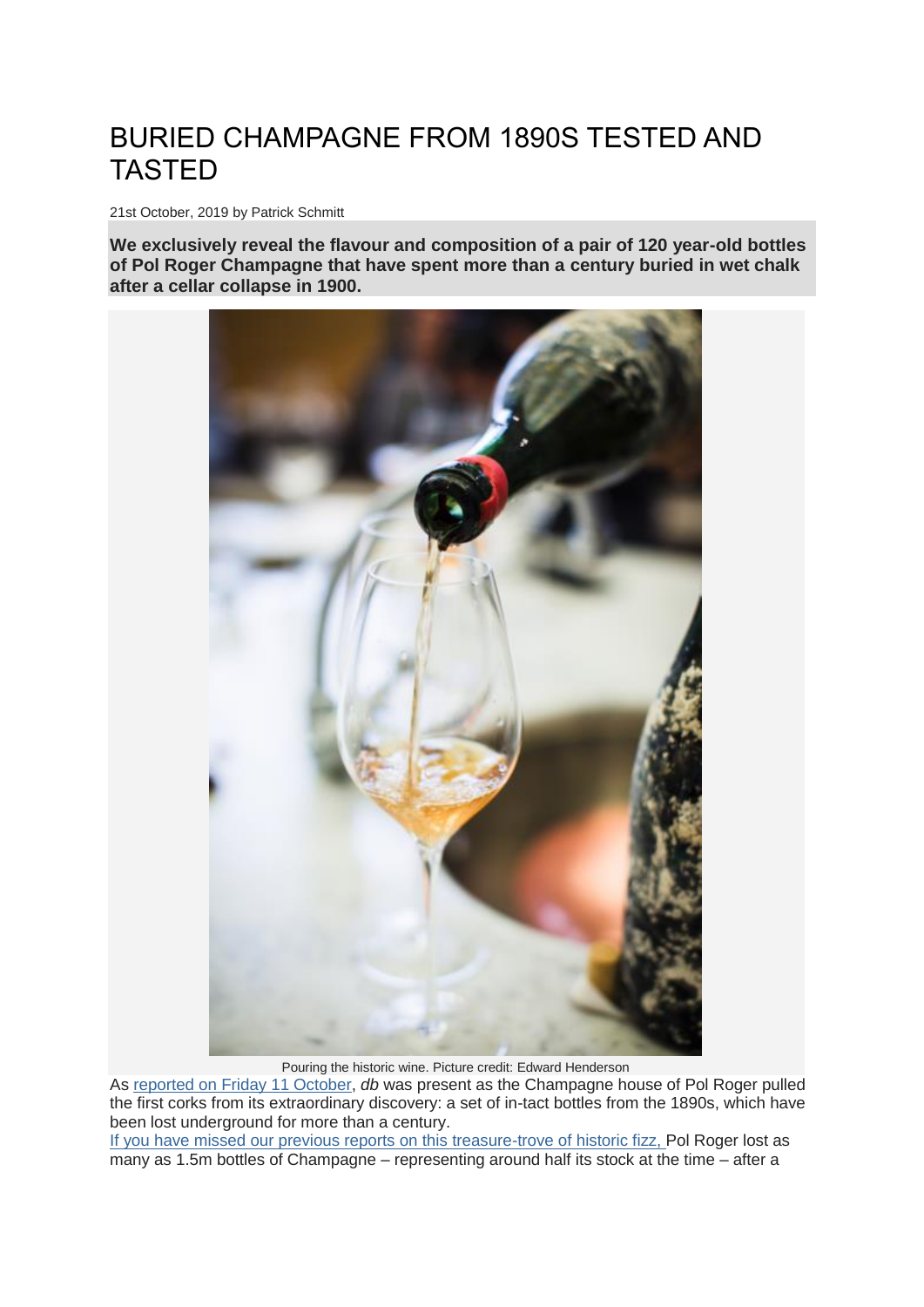## BURIED CHAMPAGNE FROM 1890S TESTED AND TASTED

21st October, 2019 by Patrick Schmitt

**We exclusively reveal the flavour and composition of a pair of 120 year-old bottles of Pol Roger Champagne that have spent more than a century buried in wet chalk after a cellar collapse in 1900.**



Pouring the historic wine. Picture credit: Edward Henderson

As [reported on Friday 11 October,](https://www.thedrinksbusiness.com/2019/10/buried-champagne-from-1890s-opened-in-epernay/) *db* was present as the Champagne house of Pol Roger pulled the first corks from its extraordinary discovery: a set of in-tact bottles from the 1890s, which have been lost underground for more than a century.

[If you have missed our previous reports on this treasure-trove of historic fizz,](https://www.thedrinksbusiness.com/2019/05/pol-roger-to-use-robot-to-reach-century-old-buried-champagne/) Pol Roger lost as many as 1.5m bottles of Champagne – representing around half its stock at the time – after a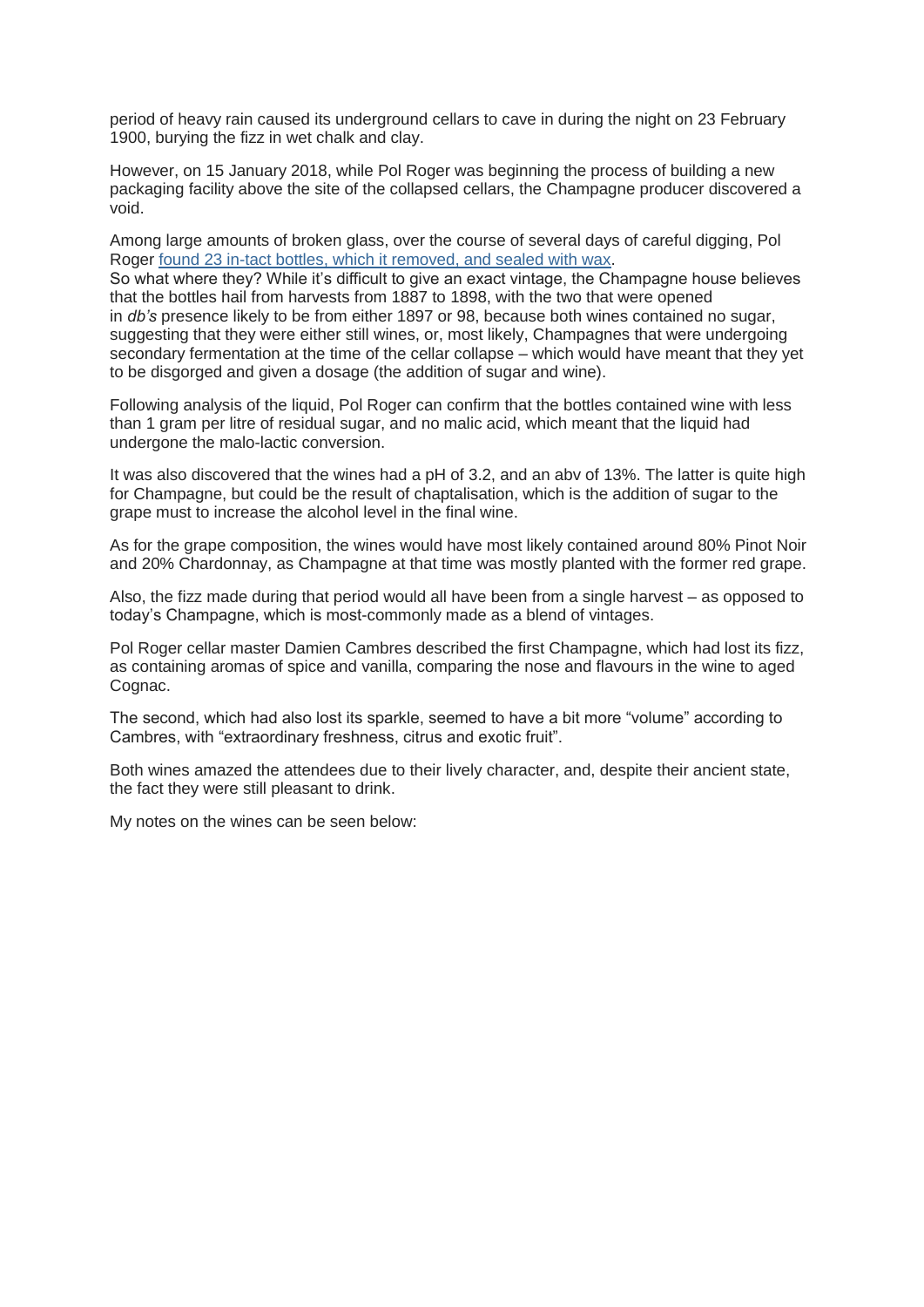period of heavy rain caused its underground cellars to cave in during the night on 23 February 1900, burying the fizz in wet chalk and clay.

However, on 15 January 2018, while Pol Roger was beginning the process of building a new packaging facility above the site of the collapsed cellars, the Champagne producer discovered a void.

Among large amounts of broken glass, over the course of several days of careful digging, Pol Roger [found 23 in-tact bottles, which it removed, and sealed with wax.](https://www.thedrinksbusiness.com/2018/02/pol-roger-unearths-champagne-from-1890s/)

So what where they? While it's difficult to give an exact vintage, the Champagne house believes that the bottles hail from harvests from 1887 to 1898, with the two that were opened in *db's* presence likely to be from either 1897 or 98, because both wines contained no sugar, suggesting that they were either still wines, or, most likely, Champagnes that were undergoing secondary fermentation at the time of the cellar collapse – which would have meant that they yet to be disgorged and given a dosage (the addition of sugar and wine).

Following analysis of the liquid, Pol Roger can confirm that the bottles contained wine with less than 1 gram per litre of residual sugar, and no malic acid, which meant that the liquid had undergone the malo-lactic conversion.

It was also discovered that the wines had a pH of 3.2, and an abv of 13%. The latter is quite high for Champagne, but could be the result of chaptalisation, which is the addition of sugar to the grape must to increase the alcohol level in the final wine.

As for the grape composition, the wines would have most likely contained around 80% Pinot Noir and 20% Chardonnay, as Champagne at that time was mostly planted with the former red grape.

Also, the fizz made during that period would all have been from a single harvest – as opposed to today's Champagne, which is most-commonly made as a blend of vintages.

Pol Roger cellar master Damien Cambres described the first Champagne, which had lost its fizz, as containing aromas of spice and vanilla, comparing the nose and flavours in the wine to aged Cognac.

The second, which had also lost its sparkle, seemed to have a bit more "volume" according to Cambres, with "extraordinary freshness, citrus and exotic fruit".

Both wines amazed the attendees due to their lively character, and, despite their ancient state, the fact they were still pleasant to drink.

My notes on the wines can be seen below: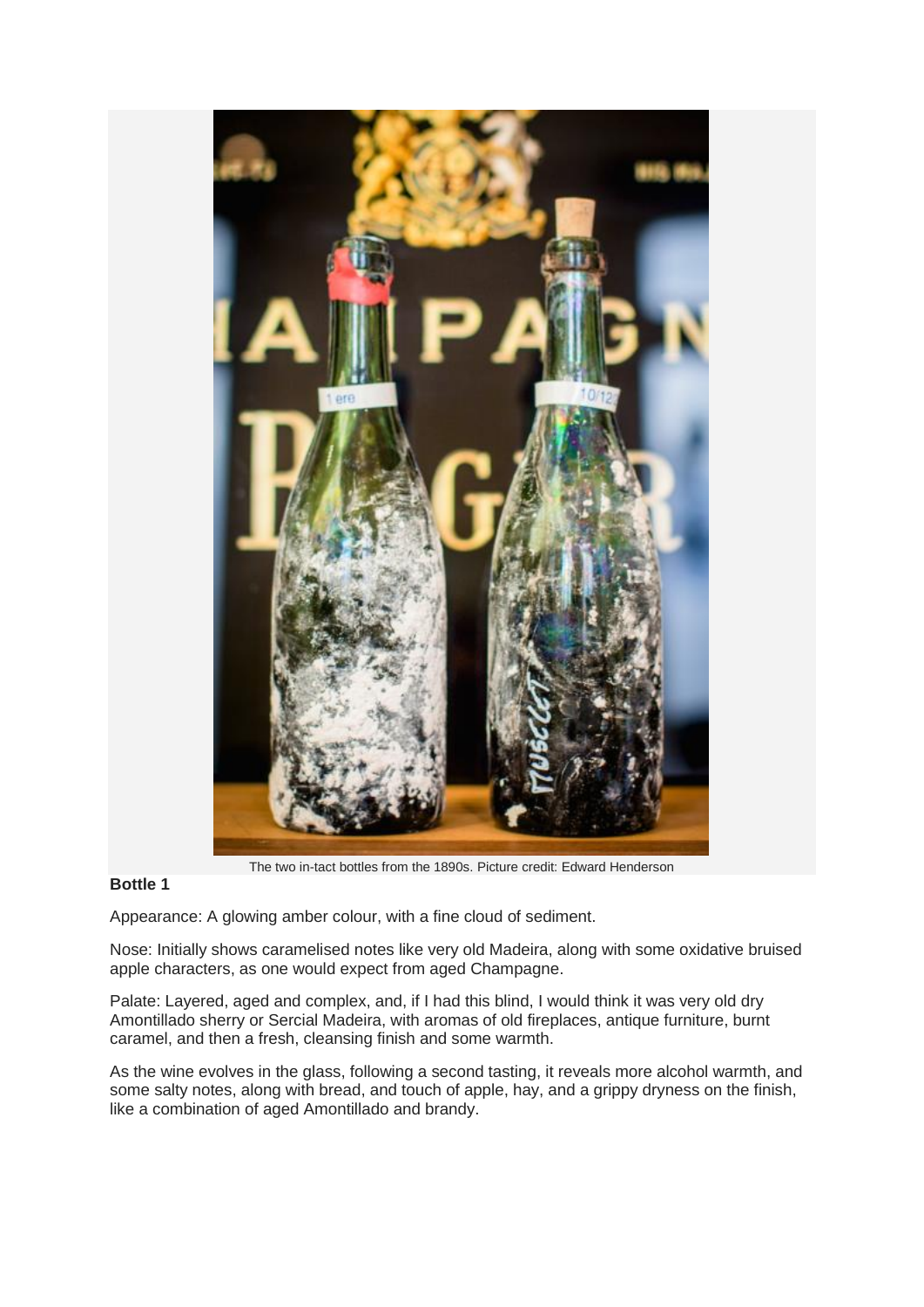

## The two in-tact bottles from the 1890s. Picture credit: Edward Henderson

## **Bottle 1**

Appearance: A glowing amber colour, with a fine cloud of sediment.

Nose: Initially shows caramelised notes like very old Madeira, along with some oxidative bruised apple characters, as one would expect from aged Champagne.

Palate: Layered, aged and complex, and, if I had this blind, I would think it was very old dry Amontillado sherry or Sercial Madeira, with aromas of old fireplaces, antique furniture, burnt caramel, and then a fresh, cleansing finish and some warmth.

As the wine evolves in the glass, following a second tasting, it reveals more alcohol warmth, and some salty notes, along with bread, and touch of apple, hay, and a grippy dryness on the finish, like a combination of aged Amontillado and brandy.